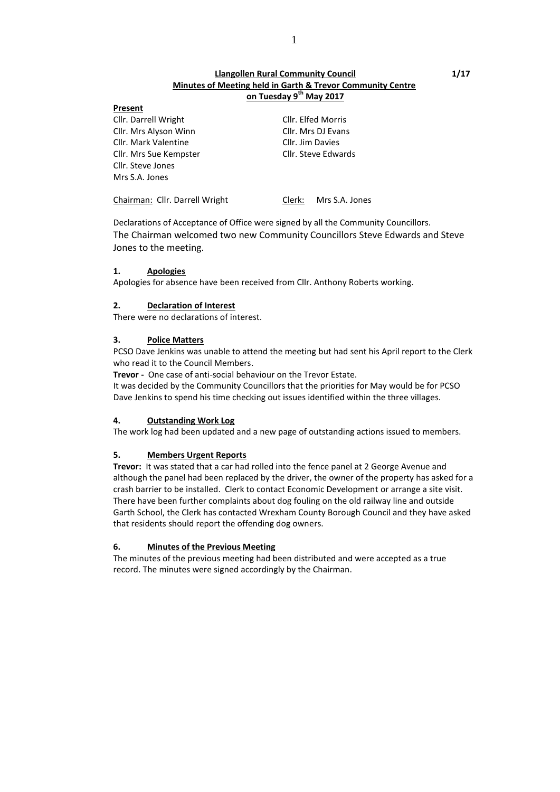#### **Present**

Cllr. Darrell Wright Cllr. Elfed Morris Cllr. Mrs Alyson Winn Cllr. Mrs DJ Evans Cllr. Mark Valentine Cllr. Jim Davies Cllr. Mrs Sue Kempster Cllr. Steve Edwards Cllr. Steve Jones Mrs S.A. Jones

Chairman: Cllr. Darrell Wright Clerk: Mrs S.A. Jones

Declarations of Acceptance of Office were signed by all the Community Councillors. The Chairman welcomed two new Community Councillors Steve Edwards and Steve Jones to the meeting.

## **1. Apologies**

Apologies for absence have been received from Cllr. Anthony Roberts working.

## **2. Declaration of Interest**

There were no declarations of interest.

## **3. Police Matters**

PCSO Dave Jenkins was unable to attend the meeting but had sent his April report to the Clerk who read it to the Council Members.

**Trevor -** One case of anti-social behaviour on the Trevor Estate.

It was decided by the Community Councillors that the priorities for May would be for PCSO Dave Jenkins to spend his time checking out issues identified within the three villages.

### **4. Outstanding Work Log**

The work log had been updated and a new page of outstanding actions issued to members.

# **5. Members Urgent Reports**

**Trevor:** It was stated that a car had rolled into the fence panel at 2 George Avenue and although the panel had been replaced by the driver, the owner of the property has asked for a crash barrier to be installed. Clerk to contact Economic Development or arrange a site visit. There have been further complaints about dog fouling on the old railway line and outside Garth School, the Clerk has contacted Wrexham County Borough Council and they have asked that residents should report the offending dog owners.

# **6. Minutes of the Previous Meeting**

The minutes of the previous meeting had been distributed and were accepted as a true record. The minutes were signed accordingly by the Chairman.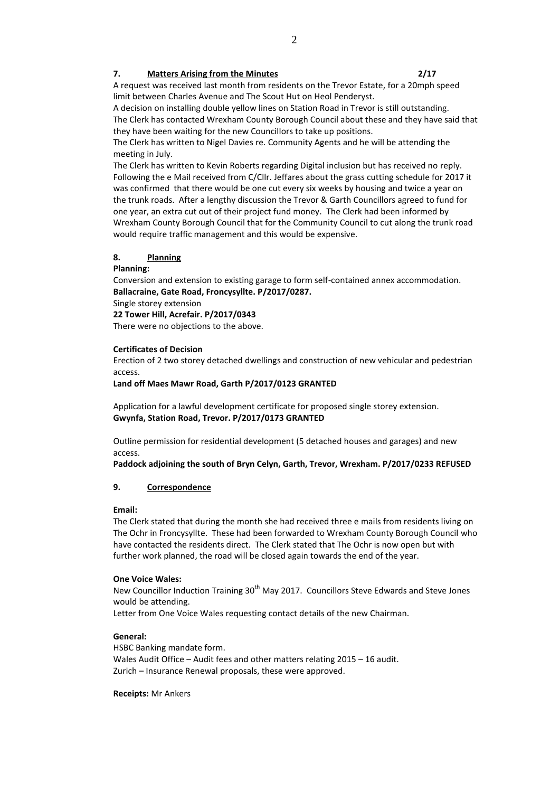#### **7. Matters Arising from the Minutes 2/17**

A request was received last month from residents on the Trevor Estate, for a 20mph speed limit between Charles Avenue and The Scout Hut on Heol Penderyst.

A decision on installing double yellow lines on Station Road in Trevor is still outstanding. The Clerk has contacted Wrexham County Borough Council about these and they have said that they have been waiting for the new Councillors to take up positions.

The Clerk has written to Nigel Davies re. Community Agents and he will be attending the meeting in July.

The Clerk has written to Kevin Roberts regarding Digital inclusion but has received no reply. Following the e Mail received from C/Cllr. Jeffares about the grass cutting schedule for 2017 it was confirmed that there would be one cut every six weeks by housing and twice a year on the trunk roads. After a lengthy discussion the Trevor & Garth Councillors agreed to fund for one year, an extra cut out of their project fund money. The Clerk had been informed by Wrexham County Borough Council that for the Community Council to cut along the trunk road would require traffic management and this would be expensive.

### **8. Planning**

#### **Planning:**

Conversion and extension to existing garage to form self-contained annex accommodation. **Ballacraine, Gate Road, Froncysyllte. P/2017/0287.**

Single storey extension

**22 Tower Hill, Acrefair. P/2017/0343**

There were no objections to the above.

### **Certificates of Decision**

Erection of 2 two storey detached dwellings and construction of new vehicular and pedestrian access.

#### **Land off Maes Mawr Road, Garth P/2017/0123 GRANTED**

Application for a lawful development certificate for proposed single storey extension. **Gwynfa, Station Road, Trevor. P/2017/0173 GRANTED**

Outline permission for residential development (5 detached houses and garages) and new access.

**Paddock adjoining the south of Bryn Celyn, Garth, Trevor, Wrexham. P/2017/0233 REFUSED**

### **9. Correspondence**

#### **Email:**

The Clerk stated that during the month she had received three e mails from residents living on The Ochr in Froncysyllte. These had been forwarded to Wrexham County Borough Council who have contacted the residents direct. The Clerk stated that The Ochr is now open but with further work planned, the road will be closed again towards the end of the year.

#### **One Voice Wales:**

New Councillor Induction Training 30<sup>th</sup> May 2017. Councillors Steve Edwards and Steve Jones would be attending.

Letter from One Voice Wales requesting contact details of the new Chairman.

### **General:**

HSBC Banking mandate form. Wales Audit Office – Audit fees and other matters relating 2015 – 16 audit. Zurich – Insurance Renewal proposals, these were approved.

**Receipts:** Mr Ankers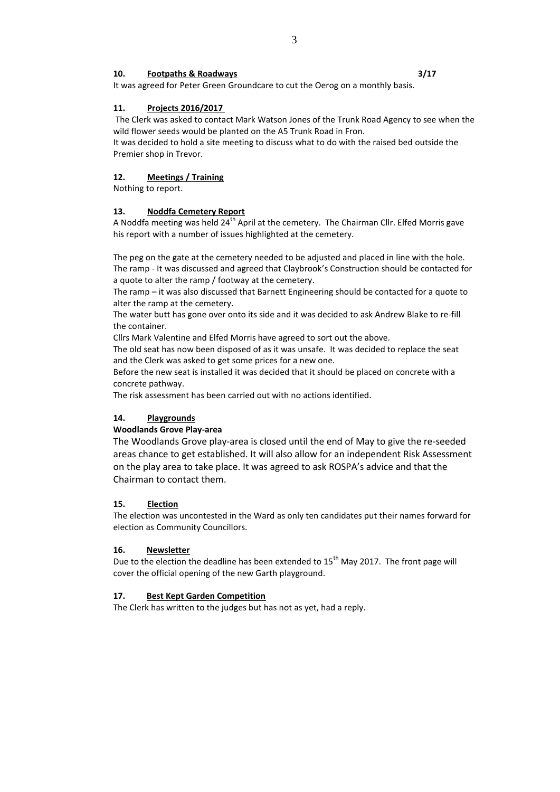## **10. Footpaths & Roadways 3/17**

It was agreed for Peter Green Groundcare to cut the Oerog on a monthly basis.

## **11. Projects 2016/2017**

The Clerk was asked to contact Mark Watson Jones of the Trunk Road Agency to see when the wild flower seeds would be planted on the A5 Trunk Road in Fron.

It was decided to hold a site meeting to discuss what to do with the raised bed outside the Premier shop in Trevor.

## **12. Meetings / Training**

Nothing to report.

### **13. Noddfa Cemetery Report**

A Noddfa meeting was held  $24<sup>th</sup>$  April at the cemetery. The Chairman Cllr. Elfed Morris gave his report with a number of issues highlighted at the cemetery.

The peg on the gate at the cemetery needed to be adjusted and placed in line with the hole. The ramp - It was discussed and agreed that Claybrook's Construction should be contacted for a quote to alter the ramp / footway at the cemetery.

The ramp – it was also discussed that Barnett Engineering should be contacted for a quote to alter the ramp at the cemetery.

The water butt has gone over onto its side and it was decided to ask Andrew Blake to re-fill the container.

Cllrs Mark Valentine and Elfed Morris have agreed to sort out the above.

The old seat has now been disposed of as it was unsafe. It was decided to replace the seat and the Clerk was asked to get some prices for a new one.

Before the new seat is installed it was decided that it should be placed on concrete with a concrete pathway.

The risk assessment has been carried out with no actions identified.

# **14. Playgrounds**

### **Woodlands Grove Play-area**

The Woodlands Grove play-area is closed until the end of May to give the re-seeded areas chance to get established. It will also allow for an independent Risk Assessment on the play area to take place. It was agreed to ask ROSPA's advice and that the Chairman to contact them.

### **15. Election**

The election was uncontested in the Ward as only ten candidates put their names forward for election as Community Councillors.

### **16. Newsletter**

Due to the election the deadline has been extended to 15<sup>th</sup> May 2017. The front page will cover the official opening of the new Garth playground.

### **17. Best Kept Garden Competition**

The Clerk has written to the judges but has not as yet, had a reply.